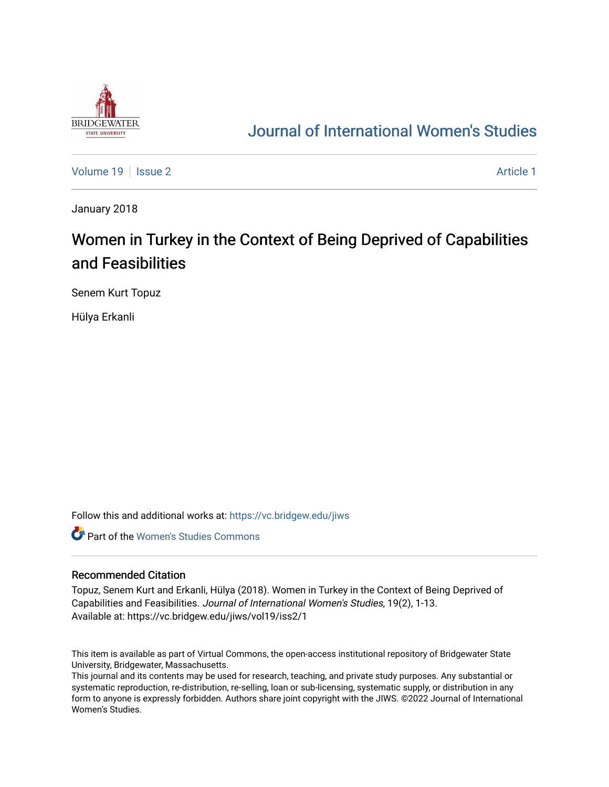

# [Journal of International Women's Studies](https://vc.bridgew.edu/jiws)

[Volume 19](https://vc.bridgew.edu/jiws/vol19) | [Issue 2](https://vc.bridgew.edu/jiws/vol19/iss2) [Article 1](https://vc.bridgew.edu/jiws/vol19/iss2/1) | Article 1 | Article 1 | Article 1 | Article 1 | Article 1 | Article 1 | Article 1 | Article 1 | Article 1 | Article 1 | Article 1 | Article 1 | Article 1 | Article 1 | Article 1 | Article 1

January 2018

# Women in Turkey in the Context of Being Deprived of Capabilities and Feasibilities

Senem Kurt Topuz

Hülya Erkanli

Follow this and additional works at: [https://vc.bridgew.edu/jiws](https://vc.bridgew.edu/jiws?utm_source=vc.bridgew.edu%2Fjiws%2Fvol19%2Fiss2%2F1&utm_medium=PDF&utm_campaign=PDFCoverPages)

**C** Part of the Women's Studies Commons

#### Recommended Citation

Topuz, Senem Kurt and Erkanli, Hülya (2018). Women in Turkey in the Context of Being Deprived of Capabilities and Feasibilities. Journal of International Women's Studies, 19(2), 1-13. Available at: https://vc.bridgew.edu/jiws/vol19/iss2/1

This item is available as part of Virtual Commons, the open-access institutional repository of Bridgewater State University, Bridgewater, Massachusetts.

This journal and its contents may be used for research, teaching, and private study purposes. Any substantial or systematic reproduction, re-distribution, re-selling, loan or sub-licensing, systematic supply, or distribution in any form to anyone is expressly forbidden. Authors share joint copyright with the JIWS. ©2022 Journal of International Women's Studies.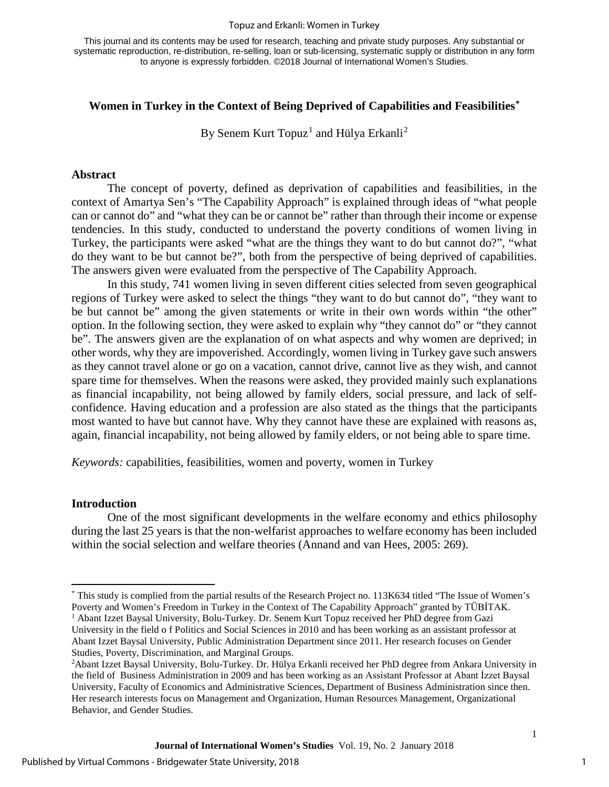#### Topuz and Erkanli: Women in Turkey

This journal and its contents may be used for research, teaching and private study purposes. Any substantial or systematic reproduction, re-distribution, re-selling, loan or sub-licensing, systematic supply or distribution in any form to anyone is expressly forbidden. ©2018 Journal of International Women's Studies.

### **Women in Turkey in the Context of Being Deprived of Capabilities and Feasibilities[\\*](#page-1-0)**

By Senem Kurt Topuz<sup>[1](#page-1-1)</sup> and Hülya Erkanli<sup>[2](#page-1-2)</sup>

### **Abstract**

The concept of poverty, defined as deprivation of capabilities and feasibilities, in the context of Amartya Sen's "The Capability Approach" is explained through ideas of "what people can or cannot do" and "what they can be or cannot be" rather than through their income or expense tendencies. In this study, conducted to understand the poverty conditions of women living in Turkey, the participants were asked "what are the things they want to do but cannot do?", "what do they want to be but cannot be?", both from the perspective of being deprived of capabilities. The answers given were evaluated from the perspective of The Capability Approach.

In this study, 741 women living in seven different cities selected from seven geographical regions of Turkey were asked to select the things "they want to do but cannot do", "they want to be but cannot be" among the given statements or write in their own words within "the other" option. In the following section, they were asked to explain why "they cannot do" or "they cannot be". The answers given are the explanation of on what aspects and why women are deprived; in other words, why they are impoverished. Accordingly, women living in Turkey gave such answers as they cannot travel alone or go on a vacation, cannot drive, cannot live as they wish, and cannot spare time for themselves. When the reasons were asked, they provided mainly such explanations as financial incapability, not being allowed by family elders, social pressure, and lack of selfconfidence. Having education and a profession are also stated as the things that the participants most wanted to have but cannot have. Why they cannot have these are explained with reasons as, again, financial incapability, not being allowed by family elders, or not being able to spare time.

*Keywords:* capabilities, feasibilities, women and poverty, women in Turkey

#### **Introduction**

 $\overline{\phantom{a}}$ 

One of the most significant developments in the welfare economy and ethics philosophy during the last 25 years is that the non-welfarist approaches to welfare economy has been included within the social selection and welfare theories (Annand and van Hees, 2005: 269).

<span id="page-1-1"></span><span id="page-1-0"></span><sup>\*</sup> This study is complied from the partial results of the Research Project no. 113K634 titled "The Issue of Women's Poverty and Women's Freedom in Turkey in the Context of The Capability Approach" granted by TÜBİTAK. <sup>1</sup> Abant Izzet Baysal University, Bolu-Turkey. Dr. Senem Kurt Topuz received her PhD degree from Gazi University in the field o f Politics and Social Sciences in 2010 and has been working as an assistant professor at Abant Izzet Baysal University, Public Administration Department since 2011. Her research focuses on Gender Studies, Poverty, Discrimination, and Marginal Groups.

<span id="page-1-2"></span><sup>&</sup>lt;sup>2</sup>Abant Izzet Baysal University, Bolu-Turkey. Dr. Hülya Erkanli received her PhD degree from Ankara University in the field of Business Administration in 2009 and has been working as an Assistant Professor at Abant İzzet Baysal University, Faculty of Economics and Administrative Sciences, Department of Business Administration since then. Her research interests focus on Management and Organization, Human Resources Management, Organizational Behavior, and Gender Studies.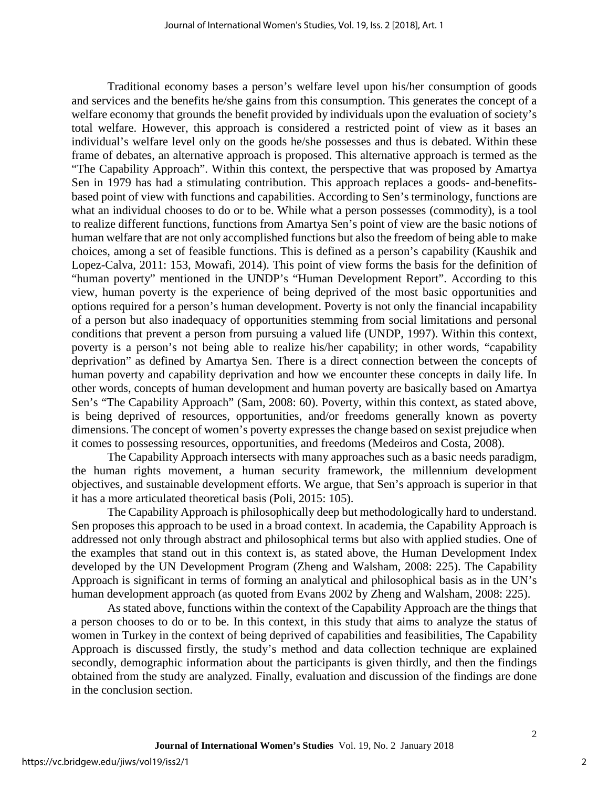Traditional economy bases a person's welfare level upon his/her consumption of goods and services and the benefits he/she gains from this consumption. This generates the concept of a welfare economy that grounds the benefit provided by individuals upon the evaluation of society's total welfare. However, this approach is considered a restricted point of view as it bases an individual's welfare level only on the goods he/she possesses and thus is debated. Within these frame of debates, an alternative approach is proposed. This alternative approach is termed as the "The Capability Approach". Within this context, the perspective that was proposed by Amartya Sen in 1979 has had a stimulating contribution. This approach replaces a goods- and-benefitsbased point of view with functions and capabilities. According to Sen's terminology, functions are what an individual chooses to do or to be. While what a person possesses (commodity), is a tool to realize different functions, functions from Amartya Sen's point of view are the basic notions of human welfare that are not only accomplished functions but also the freedom of being able to make choices, among a set of feasible functions. This is defined as a person's capability (Kaushik and Lopez-Calva, 2011: 153, Mowafi, 2014). This point of view forms the basis for the definition of "human poverty" mentioned in the UNDP's "Human Development Report". According to this view, human poverty is the experience of being deprived of the most basic opportunities and options required for a person's human development. Poverty is not only the financial incapability of a person but also inadequacy of opportunities stemming from social limitations and personal conditions that prevent a person from pursuing a valued life (UNDP, 1997). Within this context, poverty is a person's not being able to realize his/her capability; in other words, "capability deprivation" as defined by Amartya Sen. There is a direct connection between the concepts of human poverty and capability deprivation and how we encounter these concepts in daily life. In other words, concepts of human development and human poverty are basically based on Amartya Sen's "The Capability Approach" (Sam, 2008: 60). Poverty, within this context, as stated above, is being deprived of resources, opportunities, and/or freedoms generally known as poverty dimensions. The concept of women's poverty expresses the change based on sexist prejudice when it comes to possessing resources, opportunities, and freedoms (Medeiros and Costa, 2008).

The Capability Approach intersects with many approaches such as a basic needs paradigm, the human rights movement, a human security framework, the millennium development objectives, and sustainable development efforts. We argue, that Sen's approach is superior in that it has a more articulated theoretical basis (Poli, 2015: 105).

The Capability Approach is philosophically deep but methodologically hard to understand. Sen proposes this approach to be used in a broad context. In academia, the Capability Approach is addressed not only through abstract and philosophical terms but also with applied studies. One of the examples that stand out in this context is, as stated above, the Human Development Index developed by the UN Development Program (Zheng and Walsham, 2008: 225). The Capability Approach is significant in terms of forming an analytical and philosophical basis as in the UN's human development approach (as quoted from Evans 2002 by Zheng and Walsham, 2008: 225).

As stated above, functions within the context of the Capability Approach are the things that a person chooses to do or to be. In this context, in this study that aims to analyze the status of women in Turkey in the context of being deprived of capabilities and feasibilities, The Capability Approach is discussed firstly, the study's method and data collection technique are explained secondly, demographic information about the participants is given thirdly, and then the findings obtained from the study are analyzed. Finally, evaluation and discussion of the findings are done in the conclusion section.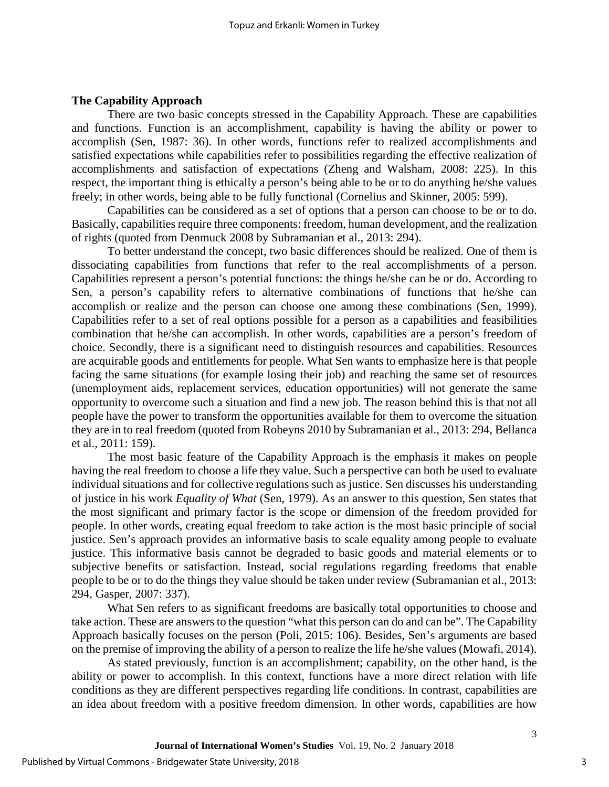#### **The Capability Approach**

There are two basic concepts stressed in the Capability Approach. These are capabilities and functions. Function is an accomplishment, capability is having the ability or power to accomplish (Sen, 1987: 36). In other words, functions refer to realized accomplishments and satisfied expectations while capabilities refer to possibilities regarding the effective realization of accomplishments and satisfaction of expectations (Zheng and Walsham, 2008: 225). In this respect, the important thing is ethically a person's being able to be or to do anything he/she values freely; in other words, being able to be fully functional (Cornelius and Skinner, 2005: 599).

Capabilities can be considered as a set of options that a person can choose to be or to do. Basically, capabilities require three components: freedom, human development, and the realization of rights (quoted from Denmuck 2008 by Subramanian et al., 2013: 294).

To better understand the concept, two basic differences should be realized. One of them is dissociating capabilities from functions that refer to the real accomplishments of a person. Capabilities represent a person's potential functions: the things he/she can be or do. According to Sen, a person's capability refers to alternative combinations of functions that he/she can accomplish or realize and the person can choose one among these combinations (Sen, 1999). Capabilities refer to a set of real options possible for a person as a capabilities and feasibilities combination that he/she can accomplish. In other words, capabilities are a person's freedom of choice. Secondly, there is a significant need to distinguish resources and capabilities. Resources are acquirable goods and entitlements for people. What Sen wants to emphasize here is that people facing the same situations (for example losing their job) and reaching the same set of resources (unemployment aids, replacement services, education opportunities) will not generate the same opportunity to overcome such a situation and find a new job. The reason behind this is that not all people have the power to transform the opportunities available for them to overcome the situation they are in to real freedom (quoted from Robeyns 2010 by Subramanian et al., 2013: 294, Bellanca et al., 2011: 159).

The most basic feature of the Capability Approach is the emphasis it makes on people having the real freedom to choose a life they value. Such a perspective can both be used to evaluate individual situations and for collective regulations such as justice. Sen discusses his understanding of justice in his work *Equality of What* (Sen, 1979). As an answer to this question, Sen states that the most significant and primary factor is the scope or dimension of the freedom provided for people. In other words, creating equal freedom to take action is the most basic principle of social justice. Sen's approach provides an informative basis to scale equality among people to evaluate justice. This informative basis cannot be degraded to basic goods and material elements or to subjective benefits or satisfaction. Instead, social regulations regarding freedoms that enable people to be or to do the things they value should be taken under review (Subramanian et al., 2013: 294, Gasper, 2007: 337).

What Sen refers to as significant freedoms are basically total opportunities to choose and take action. These are answers to the question "what this person can do and can be". The Capability Approach basically focuses on the person (Poli, 2015: 106). Besides, Sen's arguments are based on the premise of improving the ability of a person to realize the life he/she values (Mowafi, 2014).

As stated previously, function is an accomplishment; capability, on the other hand, is the ability or power to accomplish. In this context, functions have a more direct relation with life conditions as they are different perspectives regarding life conditions. In contrast, capabilities are an idea about freedom with a positive freedom dimension. In other words, capabilities are how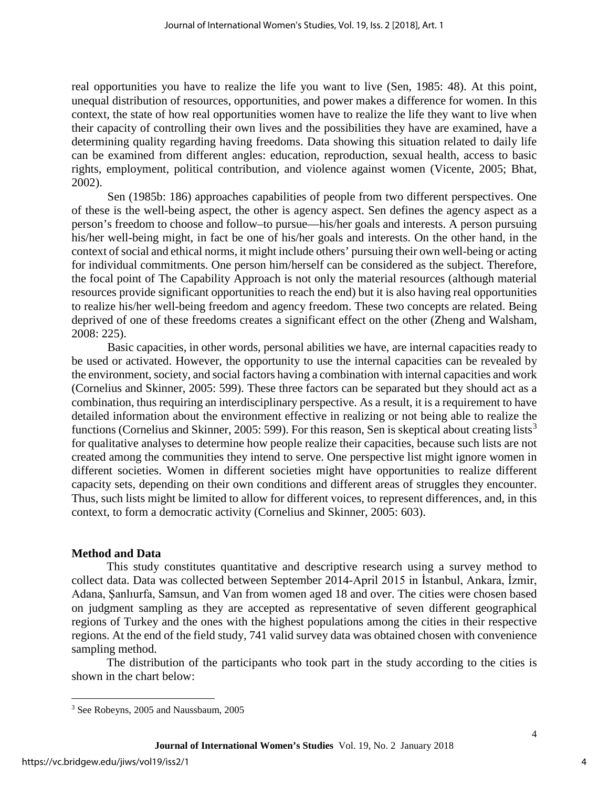real opportunities you have to realize the life you want to live (Sen, 1985: 48). At this point, unequal distribution of resources, opportunities, and power makes a difference for women. In this context, the state of how real opportunities women have to realize the life they want to live when their capacity of controlling their own lives and the possibilities they have are examined, have a determining quality regarding having freedoms. Data showing this situation related to daily life can be examined from different angles: education, reproduction, sexual health, access to basic rights, employment, political contribution, and violence against women (Vicente, 2005; Bhat, 2002).

Sen (1985b: 186) approaches capabilities of people from two different perspectives. One of these is the well-being aspect, the other is agency aspect. Sen defines the agency aspect as a person's freedom to choose and follow–to pursue—his/her goals and interests. A person pursuing his/her well-being might, in fact be one of his/her goals and interests. On the other hand, in the context of social and ethical norms, it might include others' pursuing their own well-being or acting for individual commitments. One person him/herself can be considered as the subject. Therefore, the focal point of The Capability Approach is not only the material resources (although material resources provide significant opportunities to reach the end) but it is also having real opportunities to realize his/her well-being freedom and agency freedom. These two concepts are related. Being deprived of one of these freedoms creates a significant effect on the other (Zheng and Walsham, 2008: 225).

Basic capacities, in other words, personal abilities we have, are internal capacities ready to be used or activated. However, the opportunity to use the internal capacities can be revealed by the environment, society, and social factors having a combination with internal capacities and work (Cornelius and Skinner, 2005: 599). These three factors can be separated but they should act as a combination, thus requiring an interdisciplinary perspective. As a result, it is a requirement to have detailed information about the environment effective in realizing or not being able to realize the functions (Cornelius and Skinner, 2005: 599). For this reason, Sen is skeptical about creating lists<sup>[3](#page-4-0)</sup> for qualitative analyses to determine how people realize their capacities, because such lists are not created among the communities they intend to serve. One perspective list might ignore women in different societies. Women in different societies might have opportunities to realize different capacity sets, depending on their own conditions and different areas of struggles they encounter. Thus, such lists might be limited to allow for different voices, to represent differences, and, in this context, to form a democratic activity (Cornelius and Skinner, 2005: 603).

#### **Method and Data**

This study constitutes quantitative and descriptive research using a survey method to collect data. Data was collected between September 2014-April 2015 in İstanbul, Ankara, İzmir, Adana, Şanlıurfa, Samsun, and Van from women aged 18 and over. The cities were chosen based on judgment sampling as they are accepted as representative of seven different geographical regions of Turkey and the ones with the highest populations among the cities in their respective regions. At the end of the field study, 741 valid survey data was obtained chosen with convenience sampling method.

The distribution of the participants who took part in the study according to the cities is shown in the chart below:

l

<span id="page-4-0"></span><sup>3</sup> See Robeyns, 2005 and Naussbaum, 2005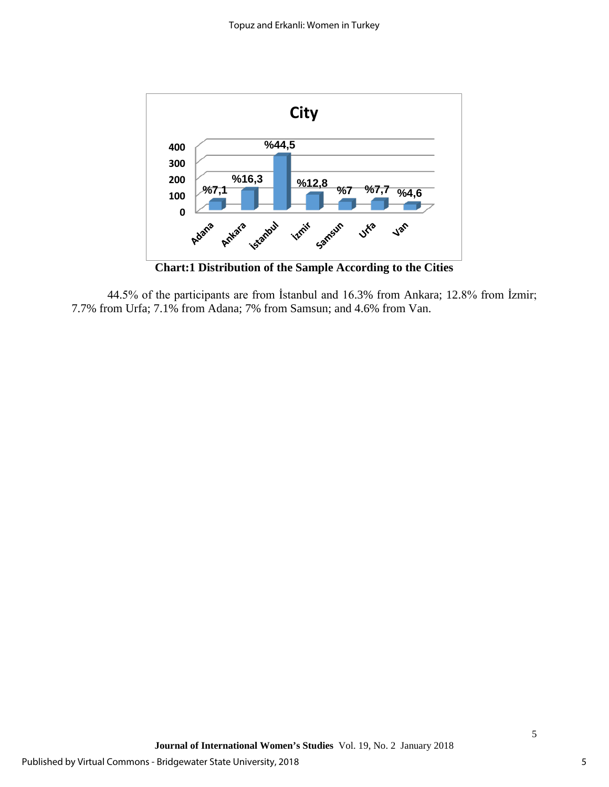

44.5% of the participants are from İstanbul and 16.3% from Ankara; 12.8% from İzmir; 7.7% from Urfa; 7.1% from Adana; 7% from Samsun; and 4.6% from Van.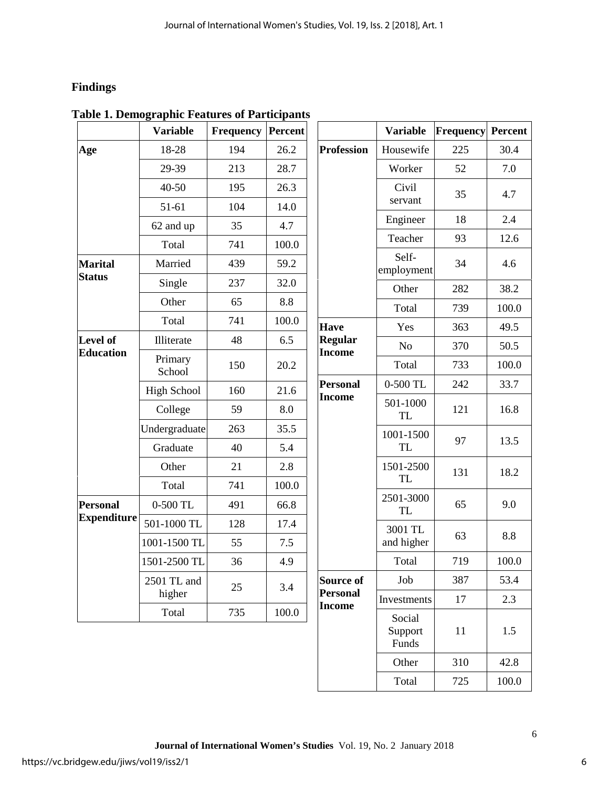# **Findings**

|                    | <b>Variable</b>       | <b>Frequency Percent</b> |       |                     |
|--------------------|-----------------------|--------------------------|-------|---------------------|
| Age                | 18-28                 | 194                      | 26.2  | Prof                |
|                    | 29-39                 | 213                      | 28.7  |                     |
|                    | 40-50                 | 195                      | 26.3  |                     |
|                    | $51-61$               | 104                      | 14.0  |                     |
|                    | 62 and up             | 35                       | 4.7   |                     |
|                    | Total                 | 741                      | 100.0 |                     |
| <b>Marital</b>     | Married               | 439                      | 59.2  |                     |
| <b>Status</b>      | Single                | 237                      | 32.0  |                     |
|                    | Other                 | 65                       | 8.8   |                     |
|                    | Total                 | 741                      | 100.0 | Hav                 |
| Level of           | Illiterate            | 48                       | 6.5   | Regu                |
| <b>Education</b>   | Primary<br>School     | 150                      | 20.2  | Inco                |
|                    | <b>High School</b>    | 160                      | 21.6  | Pers<br><b>Inco</b> |
|                    | College               | 59                       | 8.0   |                     |
|                    | Undergraduate         | 263                      | 35.5  |                     |
|                    | Graduate              | 40                       | 5.4   |                     |
|                    | Other                 | 21                       | 2.8   |                     |
|                    | Total                 | 741                      | 100.0 |                     |
| <b>Personal</b>    | 0-500 TL              | 491                      | 66.8  |                     |
| <b>Expenditure</b> | 501-1000 TL           | 128                      | 17.4  |                     |
|                    | 1001-1500 TL          | 55                       | 7.5   |                     |
|                    | 1501-2500 TL          | 36                       | 4.9   |                     |
|                    | 2501 TL and<br>higher | 25                       | 3.4   | Sour<br>Pers        |
|                    | Total                 | 735                      | 100.0 | <b>Inco</b>         |

|  | <b>Table 1. Demographic Features of Participants</b> |  |  |  |
|--|------------------------------------------------------|--|--|--|
|  |                                                      |  |  |  |

|                                  | <b>Variable</b>            | <b>Frequency</b> | Percent |
|----------------------------------|----------------------------|------------------|---------|
| <b>Profession</b>                | Housewife                  | 225              | 30.4    |
|                                  | Worker                     | 52               | 7.0     |
|                                  | Civil<br>servant           | 35               | 4.7     |
|                                  | Engineer                   | 18               | 2.4     |
|                                  | Teacher                    | 93               | 12.6    |
|                                  | Self-<br>employment        | 34               | 4.6     |
|                                  | Other                      | 282              | 38.2    |
|                                  | Total                      | 739              | 100.0   |
| <b>Have</b>                      | Yes                        | 363              | 49.5    |
| <b>Regular</b><br><b>Income</b>  | N <sub>o</sub>             | 370              | 50.5    |
|                                  | Total                      | 733              | 100.0   |
| <b>Personal</b>                  | 0-500 TL                   | 242              | 33.7    |
| <b>Income</b>                    | 501-1000<br><b>TL</b>      | 121              | 16.8    |
|                                  | 1001-1500<br>TL            | 97               | 13.5    |
|                                  | 1501-2500<br><b>TL</b>     | 131              | 18.2    |
|                                  | 2501-3000<br><b>TL</b>     | 65               | 9.0     |
|                                  | 3001 TL<br>and higher      | 63               | 8.8     |
|                                  | Total                      | 719              | 100.0   |
| <b>Source of</b>                 | Job                        | 387              | 53.4    |
| <b>Personal</b><br><b>Income</b> | Investments                | 17               | 2.3     |
|                                  | Social<br>Support<br>Funds | 11               | 1.5     |
|                                  | Other                      | 310              | 42.8    |
|                                  | Total                      | 725              | 100.0   |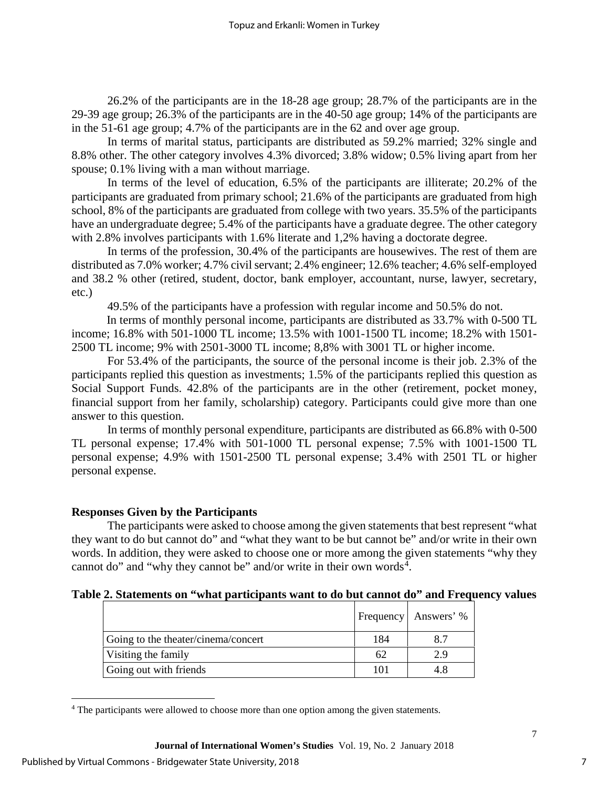26.2% of the participants are in the 18-28 age group; 28.7% of the participants are in the 29-39 age group; 26.3% of the participants are in the 40-50 age group; 14% of the participants are in the 51-61 age group; 4.7% of the participants are in the 62 and over age group.

In terms of marital status, participants are distributed as 59.2% married; 32% single and 8.8% other. The other category involves 4.3% divorced; 3.8% widow; 0.5% living apart from her spouse; 0.1% living with a man without marriage.

In terms of the level of education, 6.5% of the participants are illiterate; 20.2% of the participants are graduated from primary school; 21.6% of the participants are graduated from high school, 8% of the participants are graduated from college with two years. 35.5% of the participants have an undergraduate degree; 5.4% of the participants have a graduate degree. The other category with 2.8% involves participants with 1.6% literate and 1,2% having a doctorate degree.

In terms of the profession, 30.4% of the participants are housewives. The rest of them are distributed as 7.0% worker; 4.7% civil servant; 2.4% engineer; 12.6% teacher; 4.6% self-employed and 38.2 % other (retired, student, doctor, bank employer, accountant, nurse, lawyer, secretary, etc.)

49.5% of the participants have a profession with regular income and 50.5% do not.

In terms of monthly personal income, participants are distributed as  $33.7\%$  with 0-500 TL income; 16.8% with 501-1000 TL income; 13.5% with 1001-1500 TL income; 18.2% with 1501- 2500 TL income; 9% with 2501-3000 TL income; 8,8% with 3001 TL or higher income.

For 53.4% of the participants, the source of the personal income is their job. 2.3% of the participants replied this question as investments; 1.5% of the participants replied this question as Social Support Funds. 42.8% of the participants are in the other (retirement, pocket money, financial support from her family, scholarship) category. Participants could give more than one answer to this question.

In terms of monthly personal expenditure, participants are distributed as 66.8% with 0-500 TL personal expense; 17.4% with 501-1000 TL personal expense; 7.5% with 1001-1500 TL personal expense; 4.9% with 1501-2500 TL personal expense; 3.4% with 2501 TL or higher personal expense.

## **Responses Given by the Participants**

The participants were asked to choose among the given statements that best represent "what they want to do but cannot do" and "what they want to be but cannot be" and/or write in their own words. In addition, they were asked to choose one or more among the given statements "why they cannot do" and "why they cannot be" and/or write in their own words $4$ .

# **Table 2. Statements on "what participants want to do but cannot do" and Frequency values**

|                                     |     | Frequency   Answers' % |
|-------------------------------------|-----|------------------------|
| Going to the theater/cinema/concert | 184 | 8.7                    |
| Visiting the family                 | 62  | 2.9                    |
| Going out with friends              | 101 | 4.8                    |

<span id="page-7-0"></span><sup>&</sup>lt;sup>4</sup> The participants were allowed to choose more than one option among the given statements.

l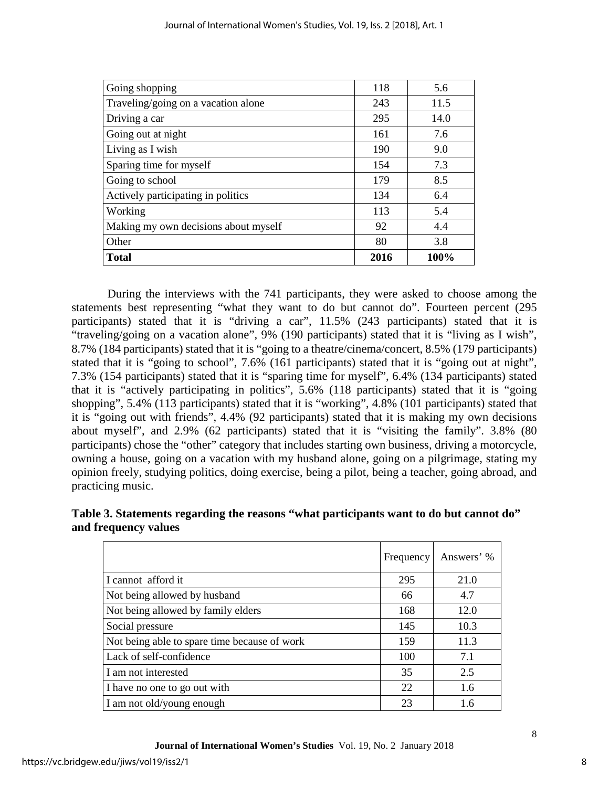| <b>Total</b>                         | 2016 | 100% |
|--------------------------------------|------|------|
| Other                                | 80   | 3.8  |
| Making my own decisions about myself | 92   | 4.4  |
| Working                              | 113  | 5.4  |
| Actively participating in politics   | 134  | 6.4  |
| Going to school                      | 179  | 8.5  |
| Sparing time for myself              | 154  | 7.3  |
| Living as I wish                     | 190  | 9.0  |
| Going out at night                   | 161  | 7.6  |
| Driving a car                        | 295  | 14.0 |
| Traveling/going on a vacation alone  | 243  | 11.5 |
| Going shopping                       | 118  | 5.6  |

During the interviews with the 741 participants, they were asked to choose among the statements best representing "what they want to do but cannot do". Fourteen percent (295 participants) stated that it is "driving a car", 11.5% (243 participants) stated that it is "traveling/going on a vacation alone", 9% (190 participants) stated that it is "living as I wish", 8.7% (184 participants) stated that it is "going to a theatre/cinema/concert, 8.5% (179 participants) stated that it is "going to school", 7.6% (161 participants) stated that it is "going out at night", 7.3% (154 participants) stated that it is "sparing time for myself", 6.4% (134 participants) stated that it is "actively participating in politics", 5.6% (118 participants) stated that it is "going shopping", 5.4% (113 participants) stated that it is "working", 4.8% (101 participants) stated that it is "going out with friends", 4.4% (92 participants) stated that it is making my own decisions about myself", and 2.9% (62 participants) stated that it is "visiting the family". 3.8% (80 participants) chose the "other" category that includes starting own business, driving a motorcycle, owning a house, going on a vacation with my husband alone, going on a pilgrimage, stating my opinion freely, studying politics, doing exercise, being a pilot, being a teacher, going abroad, and practicing music.

# **Table 3. Statements regarding the reasons "what participants want to do but cannot do" and frequency values**

|                                              | Frequency | Answers' % |
|----------------------------------------------|-----------|------------|
| I cannot afford it                           | 295       | 21.0       |
| Not being allowed by husband                 | 66        | 4.7        |
| Not being allowed by family elders           | 168       | 12.0       |
| Social pressure                              | 145       | 10.3       |
| Not being able to spare time because of work | 159       | 11.3       |
| Lack of self-confidence                      | 100       | 7.1        |
| I am not interested                          | 35        | 2.5        |
| I have no one to go out with                 | 22        | 1.6        |
| I am not old/young enough                    | 23        | 1.6        |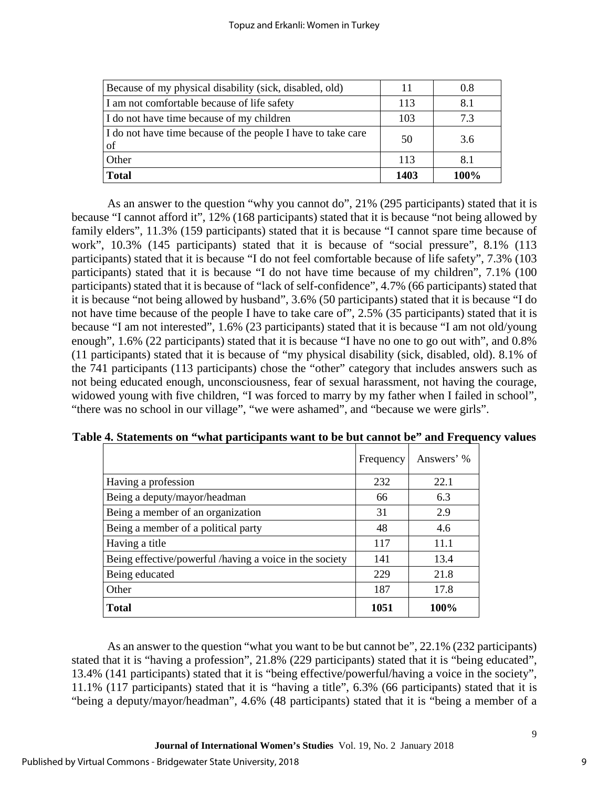| Because of my physical disability (sick, disabled, old)            |      | 0.8  |
|--------------------------------------------------------------------|------|------|
| I am not comfortable because of life safety                        | 113  | 8.1  |
| I do not have time because of my children                          | 103  | 7.3  |
| I do not have time because of the people I have to take care<br>of | 50   | 3.6  |
| Other                                                              | 113  | 8.1  |
| Total                                                              | 1403 | 100% |

As an answer to the question "why you cannot do", 21% (295 participants) stated that it is because "I cannot afford it", 12% (168 participants) stated that it is because "not being allowed by family elders", 11.3% (159 participants) stated that it is because "I cannot spare time because of work", 10.3% (145 participants) stated that it is because of "social pressure", 8.1% (113 participants) stated that it is because "I do not feel comfortable because of life safety", 7.3% (103 participants) stated that it is because "I do not have time because of my children", 7.1% (100 participants) stated that it is because of "lack of self-confidence", 4.7% (66 participants) stated that it is because "not being allowed by husband", 3.6% (50 participants) stated that it is because "I do not have time because of the people I have to take care of", 2.5% (35 participants) stated that it is because "I am not interested", 1.6% (23 participants) stated that it is because "I am not old/young enough", 1.6% (22 participants) stated that it is because "I have no one to go out with", and 0.8% (11 participants) stated that it is because of "my physical disability (sick, disabled, old). 8.1% of the 741 participants (113 participants) chose the "other" category that includes answers such as not being educated enough, unconsciousness, fear of sexual harassment, not having the courage, widowed young with five children, "I was forced to marry by my father when I failed in school", "there was no school in our village", "we were ashamed", and "because we were girls".

|                                                         | Frequency | Answers' % |
|---------------------------------------------------------|-----------|------------|
| Having a profession                                     | 232       | 22.1       |
| Being a deputy/mayor/headman                            | 66        | 6.3        |
| Being a member of an organization                       | 31        | 2.9        |
| Being a member of a political party                     | 48        | 4.6        |
| Having a title                                          | 117       | 11.1       |
| Being effective/powerful /having a voice in the society | 141       | 13.4       |
| Being educated                                          | 229       | 21.8       |
| Other                                                   | 187       | 17.8       |
| <b>Total</b>                                            | 1051      | 100%       |

**Table 4. Statements on "what participants want to be but cannot be" and Frequency values**

As an answer to the question "what you want to be but cannot be", 22.1% (232 participants) stated that it is "having a profession", 21.8% (229 participants) stated that it is "being educated", 13.4% (141 participants) stated that it is "being effective/powerful/having a voice in the society", 11.1% (117 participants) stated that it is "having a title", 6.3% (66 participants) stated that it is "being a deputy/mayor/headman", 4.6% (48 participants) stated that it is "being a member of a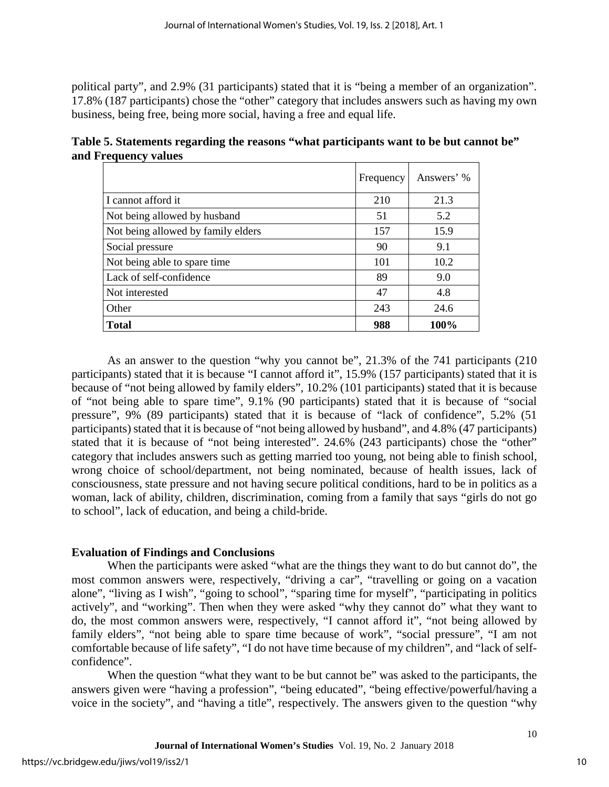political party", and 2.9% (31 participants) stated that it is "being a member of an organization". 17.8% (187 participants) chose the "other" category that includes answers such as having my own business, being free, being more social, having a free and equal life.

**Table 5. Statements regarding the reasons "what participants want to be but cannot be" and Frequency values**

|                                    | Frequency | Answers' % |
|------------------------------------|-----------|------------|
| I cannot afford it                 | 210       | 21.3       |
| Not being allowed by husband       | 51        | 5.2        |
| Not being allowed by family elders | 157       | 15.9       |
| Social pressure                    | 90        | 9.1        |
| Not being able to spare time       | 101       | 10.2       |
| Lack of self-confidence            | 89        | 9.0        |
| Not interested                     | 47        | 4.8        |
| Other                              | 243       | 24.6       |
| <b>Total</b>                       | 988       | 100%       |

As an answer to the question "why you cannot be", 21.3% of the 741 participants (210 participants) stated that it is because "I cannot afford it", 15.9% (157 participants) stated that it is because of "not being allowed by family elders", 10.2% (101 participants) stated that it is because of "not being able to spare time", 9.1% (90 participants) stated that it is because of "social pressure", 9% (89 participants) stated that it is because of "lack of confidence", 5.2% (51 participants) stated that it is because of "not being allowed by husband", and 4.8% (47 participants) stated that it is because of "not being interested". 24.6% (243 participants) chose the "other" category that includes answers such as getting married too young, not being able to finish school, wrong choice of school/department, not being nominated, because of health issues, lack of consciousness, state pressure and not having secure political conditions, hard to be in politics as a woman, lack of ability, children, discrimination, coming from a family that says "girls do not go to school", lack of education, and being a child-bride.

# **Evaluation of Findings and Conclusions**

When the participants were asked "what are the things they want to do but cannot do", the most common answers were, respectively, "driving a car", "travelling or going on a vacation alone", "living as I wish", "going to school", "sparing time for myself", "participating in politics actively", and "working". Then when they were asked "why they cannot do" what they want to do, the most common answers were, respectively, "I cannot afford it", "not being allowed by family elders", "not being able to spare time because of work", "social pressure", "I am not comfortable because of life safety", "I do not have time because of my children", and "lack of selfconfidence".

When the question "what they want to be but cannot be" was asked to the participants, the answers given were "having a profession", "being educated", "being effective/powerful/having a voice in the society", and "having a title", respectively. The answers given to the question "why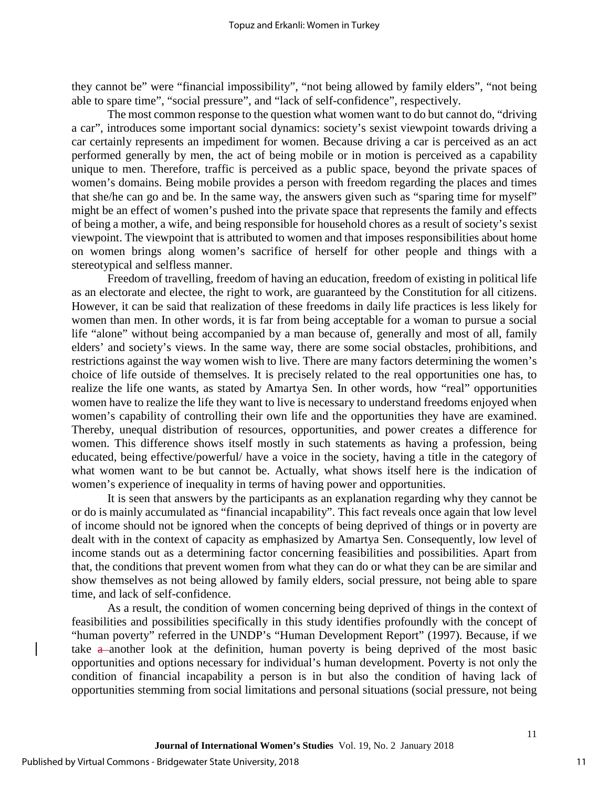they cannot be" were "financial impossibility", "not being allowed by family elders", "not being able to spare time", "social pressure", and "lack of self-confidence", respectively.

The most common response to the question what women want to do but cannot do, "driving a car", introduces some important social dynamics: society's sexist viewpoint towards driving a car certainly represents an impediment for women. Because driving a car is perceived as an act performed generally by men, the act of being mobile or in motion is perceived as a capability unique to men. Therefore, traffic is perceived as a public space, beyond the private spaces of women's domains. Being mobile provides a person with freedom regarding the places and times that she/he can go and be. In the same way, the answers given such as "sparing time for myself" might be an effect of women's pushed into the private space that represents the family and effects of being a mother, a wife, and being responsible for household chores as a result of society's sexist viewpoint. The viewpoint that is attributed to women and that imposes responsibilities about home on women brings along women's sacrifice of herself for other people and things with a stereotypical and selfless manner.

Freedom of travelling, freedom of having an education, freedom of existing in political life as an electorate and electee, the right to work, are guaranteed by the Constitution for all citizens. However, it can be said that realization of these freedoms in daily life practices is less likely for women than men. In other words, it is far from being acceptable for a woman to pursue a social life "alone" without being accompanied by a man because of, generally and most of all, family elders' and society's views. In the same way, there are some social obstacles, prohibitions, and restrictions against the way women wish to live. There are many factors determining the women's choice of life outside of themselves. It is precisely related to the real opportunities one has, to realize the life one wants, as stated by Amartya Sen. In other words, how "real" opportunities women have to realize the life they want to live is necessary to understand freedoms enjoyed when women's capability of controlling their own life and the opportunities they have are examined. Thereby, unequal distribution of resources, opportunities, and power creates a difference for women. This difference shows itself mostly in such statements as having a profession, being educated, being effective/powerful/ have a voice in the society, having a title in the category of what women want to be but cannot be. Actually, what shows itself here is the indication of women's experience of inequality in terms of having power and opportunities.

It is seen that answers by the participants as an explanation regarding why they cannot be or do is mainly accumulated as "financial incapability". This fact reveals once again that low level of income should not be ignored when the concepts of being deprived of things or in poverty are dealt with in the context of capacity as emphasized by Amartya Sen. Consequently, low level of income stands out as a determining factor concerning feasibilities and possibilities. Apart from that, the conditions that prevent women from what they can do or what they can be are similar and show themselves as not being allowed by family elders, social pressure, not being able to spare time, and lack of self-confidence.

As a result, the condition of women concerning being deprived of things in the context of feasibilities and possibilities specifically in this study identifies profoundly with the concept of "human poverty" referred in the UNDP's "Human Development Report" (1997). Because, if we take  $a$ -another look at the definition, human poverty is being deprived of the most basic opportunities and options necessary for individual's human development. Poverty is not only the condition of financial incapability a person is in but also the condition of having lack of opportunities stemming from social limitations and personal situations (social pressure, not being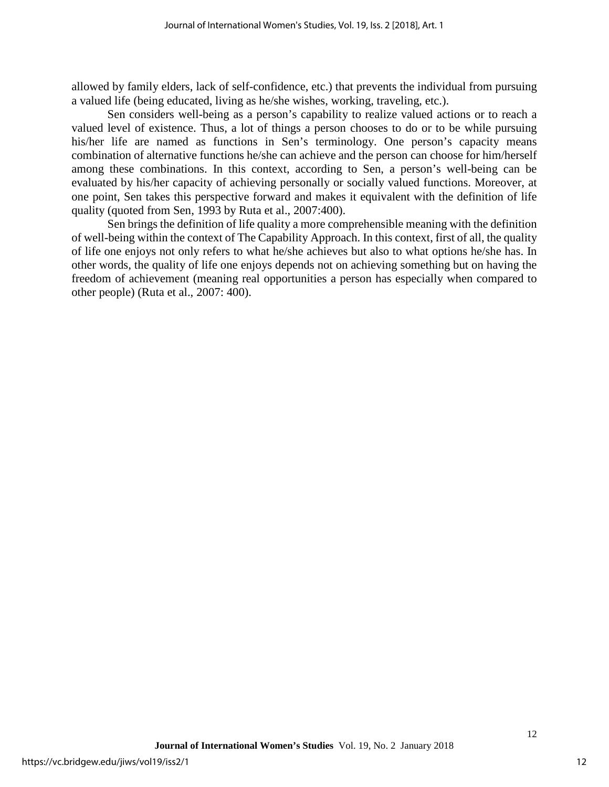allowed by family elders, lack of self-confidence, etc.) that prevents the individual from pursuing a valued life (being educated, living as he/she wishes, working, traveling, etc.).

Sen considers well-being as a person's capability to realize valued actions or to reach a valued level of existence. Thus, a lot of things a person chooses to do or to be while pursuing his/her life are named as functions in Sen's terminology. One person's capacity means combination of alternative functions he/she can achieve and the person can choose for him/herself among these combinations. In this context, according to Sen, a person's well-being can be evaluated by his/her capacity of achieving personally or socially valued functions. Moreover, at one point, Sen takes this perspective forward and makes it equivalent with the definition of life quality (quoted from Sen, 1993 by Ruta et al., 2007:400).

Sen brings the definition of life quality a more comprehensible meaning with the definition of well-being within the context of The Capability Approach. In this context, first of all, the quality of life one enjoys not only refers to what he/she achieves but also to what options he/she has. In other words, the quality of life one enjoys depends not on achieving something but on having the freedom of achievement (meaning real opportunities a person has especially when compared to other people) (Ruta et al., 2007: 400).